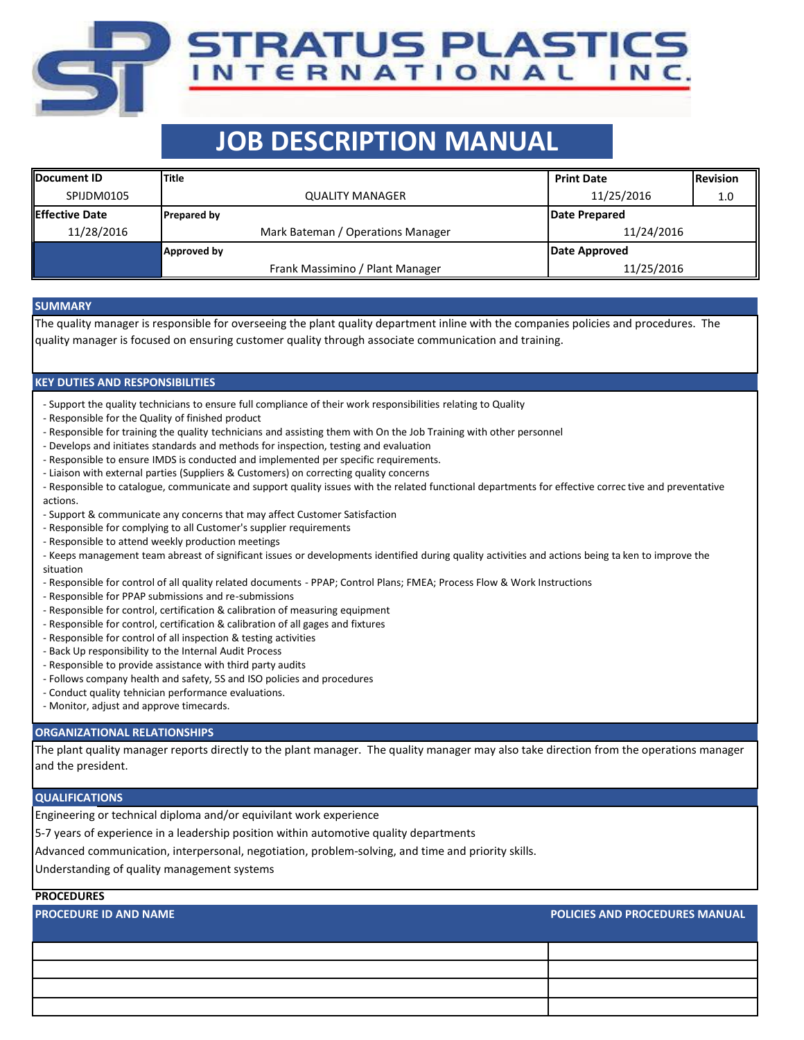# **JOB DESCRIPTION MANUAL**

TRATUS PLASTICS NTERNATIONAL INC.

| <b>IDocument ID</b>    | <b>Title</b>                      | <b>Print Date</b> | <b>Revision</b> |  |
|------------------------|-----------------------------------|-------------------|-----------------|--|
| SPIJDM0105             | <b>QUALITY MANAGER</b>            | 11/25/2016        | 1.0             |  |
| <b>IEffective Date</b> | <b>Prepared by</b>                | Date Prepared     |                 |  |
| 11/28/2016             | Mark Bateman / Operations Manager | 11/24/2016        |                 |  |
|                        | Approved by                       | Date Approved     |                 |  |
|                        | Frank Massimino / Plant Manager   | 11/25/2016        |                 |  |

### **SUMMARY**

The quality manager is responsible for overseeing the plant quality department inline with the companies policies and procedures. The quality manager is focused on ensuring customer quality through associate communication and training.

## **KEY DUTIES AND RESPONSIBILITIES**

- Support the quality technicians to ensure full compliance of their work responsibilities relating to Quality
- Responsible for the Quality of finished product
- Responsible for training the quality technicians and assisting them with On the Job Training with other personnel
- Develops and initiates standards and methods for inspection, testing and evaluation
- Responsible to ensure IMDS is conducted and implemented per specific requirements.
- Liaison with external parties (Suppliers & Customers) on correcting quality concerns
- Responsible to catalogue, communicate and support quality issues with the related functional departments for effective correc tive and preventative actions.
- Support & communicate any concerns that may affect Customer Satisfaction
- Responsible for complying to all Customer's supplier requirements
- Responsible to attend weekly production meetings
- Keeps management team abreast of significant issues or developments identified during quality activities and actions being ta ken to improve the situation
- Responsible for control of all quality related documents PPAP; Control Plans; FMEA; Process Flow & Work Instructions
- Responsible for PPAP submissions and re-submissions
- Responsible for control, certification & calibration of measuring equipment
- Responsible for control, certification & calibration of all gages and fixtures
- Responsible for control of all inspection & testing activities
- Back Up responsibility to the Internal Audit Process
- Responsible to provide assistance with third party audits
- Follows company health and safety, 5S and ISO policies and procedures
- Conduct quality tehnician performance evaluations.
- Monitor, adjust and approve timecards.

### **ORGANIZATIONAL RELATIONSHIPS**

The plant quality manager reports directly to the plant manager. The quality manager may also take direction from the operations manager and the president.

#### **QUALIFICATIONS**

Engineering or technical diploma and/or equivilant work experience

5-7 years of experience in a leadership position within automotive quality departments

Advanced communication, interpersonal, negotiation, problem-solving, and time and priority skills.

Understanding of quality management systems

## **PROCEDURES**

**PROCEDURE ID AND NAME POLICIES AND PROCEDURES MANUAL**